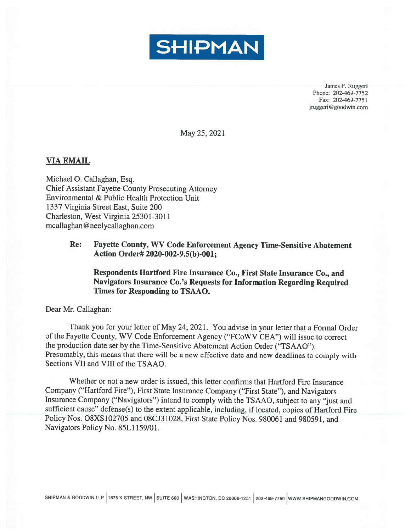

James P. Ruggeri Phone: 202-469-7752 Fax: 202-469-7751 jruggeri@goodwin.com

May 25, 2021

## VIA EMAIL

Michael 0. Callaghan, Esq. Chief Assistant Fayette County Prosecuting Attorney Environmental & Public Health Protection Unit 1337 Virginia Street East, Suite 200 Charleston, West Virginia 25301-3011 mcallaghan @ neelycallaghan.com

## Re: Fayette County, WV Code Enforcement Agency Time-Sensitive Abatement Action Order# 2020-002-9.5(b)-OO1;

Respondents Hartford Fire Insurance Co., First State Insurance Co., and Navigators Insurance Co.'s Requests for Information Regarding Required Times for Responding to TSAAO.

Dear Mr. Callaghan:

Thank you for your letter of May 24, 2021. You advise in your letter that <sup>a</sup> Formal Order of the Fayette County, WV Code Enforcement Agency ("FCoWV CEA") will issue to correct the production date set by the Time-Sensitive Abatement Action Order ("TSAAO"). Presumably, this means that there will be <sup>a</sup> new effective date and new deadlines to comply with Sections VII and VIII of the TSAAO.

Whether or not <sup>a</sup> new order is issued, this letter confirms that Hartford Fire Insurance Company ("Hartford Fire"), First State Insurance Company ("First State"), and Navigators Insurance Company ("Navigators") intend to comply with the TSAAO, subject to any "just and sufficient cause" defense(s) to the extent applicable, including, if located, copies of Hartford Fire Policy Nos. O8XS 102705 and 08CJ3 102\$, First State Policy Nos. 980061 and 980591, and Navigators Policy No. \$5L1 159/01.